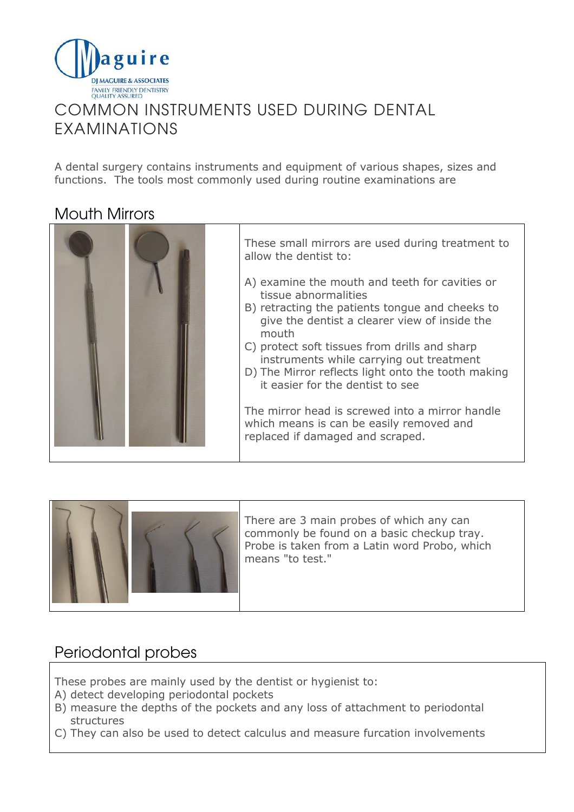

## COMMON INSTRUMENTS USED DURING DENTAL EXAMINATIONS

A dental surgery contains instruments and equipment of various shapes, sizes and functions. The tools most commonly used during routine examinations are

#### Mouth Mirrors





There are 3 main probes of which any can commonly be found on a basic checkup tray. Probe is taken from a Latin word Probo, which means "to test."

#### Periodontal probes

These probes are mainly used by the dentist or hygienist to:

- A) detect developing periodontal pockets
- B) measure the depths of the pockets and any loss of attachment to periodontal structures
- C) They can also be used to detect calculus and measure furcation involvements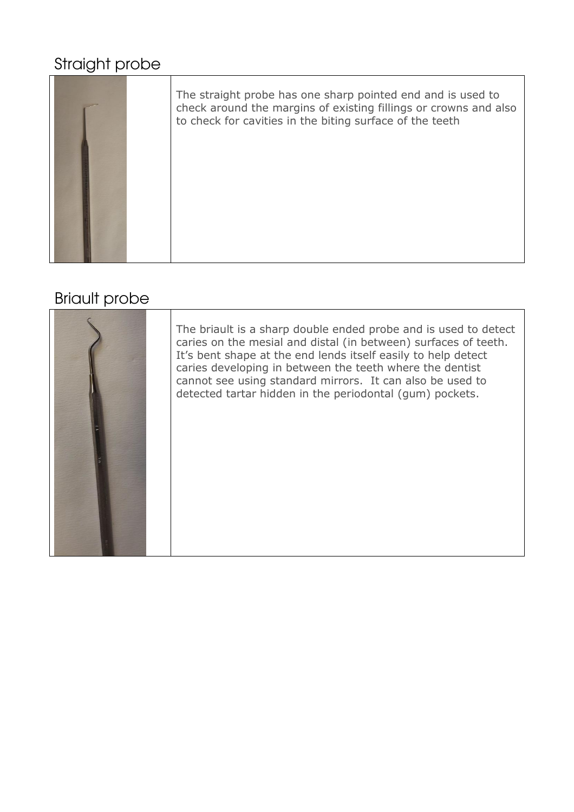# Straight probe



### Briault probe

| The briault is a sharp double ended probe and is used to detect<br>caries on the mesial and distal (in between) surfaces of teeth.<br>It's bent shape at the end lends itself easily to help detect<br>caries developing in between the teeth where the dentist<br>cannot see using standard mirrors. It can also be used to<br>detected tartar hidden in the periodontal (gum) pockets. |
|------------------------------------------------------------------------------------------------------------------------------------------------------------------------------------------------------------------------------------------------------------------------------------------------------------------------------------------------------------------------------------------|
|                                                                                                                                                                                                                                                                                                                                                                                          |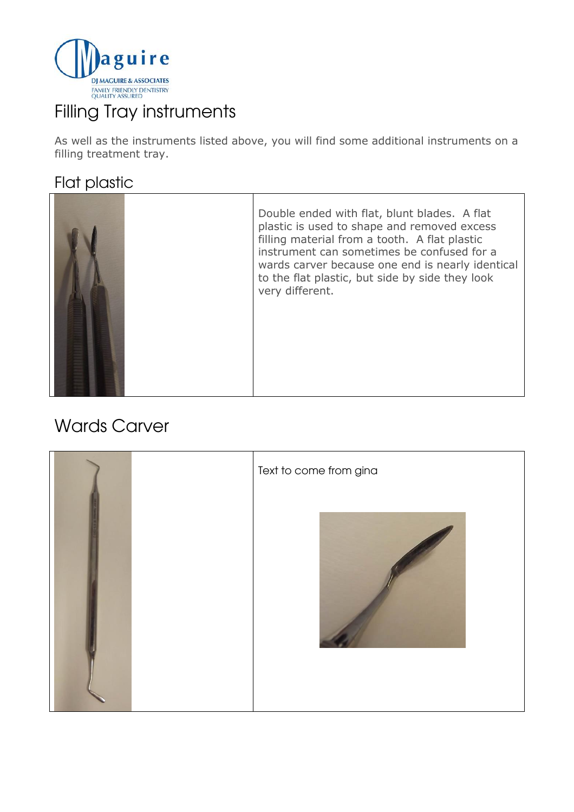

# Filling Tray instruments

As well as the instruments listed above, you will find some additional instruments on a filling treatment tray.

#### Flat plastic

# Wards Carver

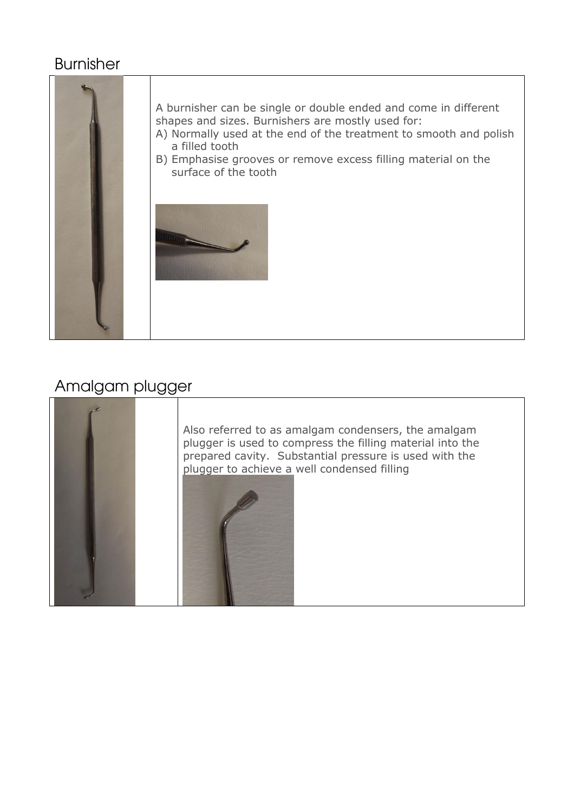#### Burnisher



#### Amalgam plugger



Also referred to as amalgam condensers, the amalgam plugger is used to compress the filling material into the prepared cavity. Substantial pressure is used with the plugger to achieve a well condensed filling

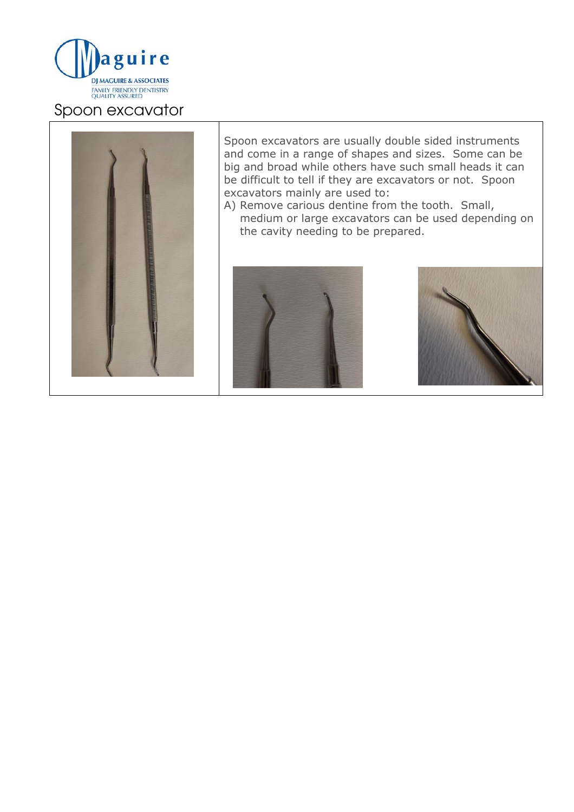

#### Spoon excavator



Spoon excavators are usually double sided instruments and come in a range of shapes and sizes. Some can be big and broad while others have such small heads it can be difficult to tell if they are excavators or not. Spoon excavators mainly are used to:

A) Remove carious dentine from the tooth. Small, medium or large excavators can be used depending on the cavity needing to be prepared.